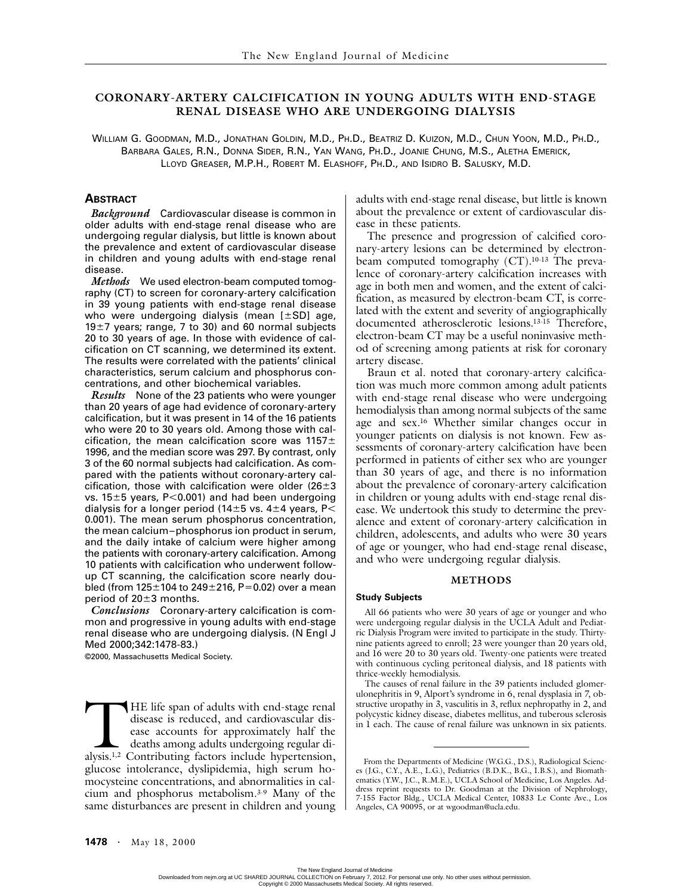# **CORONARY-ARTERY CALCIFICATION IN YOUNG ADULTS WITH END-STAGE RENAL DISEASE WHO ARE UNDERGOING DIALYSIS**

WILLIAM G. GOODMAN, M.D., JONATHAN GOLDIN, M.D., PH.D., BEATRIZ D. KUIZON, M.D., CHUN YOON, M.D., PH.D., BARBARA GALES, R.N., DONNA SIDER, R.N., YAN WANG, PH.D., JOANIE CHUNG, M.S., ALETHA EMERICK, LLOYD GREASER, M.P.H., ROBERT M. ELASHOFF, PH.D., AND ISIDRO B. SALUSKY, M.D.

# **ABSTRACT**

*Background* Cardiovascular disease is common in older adults with end-stage renal disease who are undergoing regular dialysis, but little is known about the prevalence and extent of cardiovascular disease in children and young adults with end-stage renal disease.

*Methods* We used electron-beam computed tomography (CT) to screen for coronary-artery calcification in 39 young patients with end-stage renal disease who were undergoing dialysis (mean [±SD] age, 19 $\pm$ 7 years; range, 7 to 30) and 60 normal subjects 20 to 30 years of age. In those with evidence of calcification on CT scanning, we determined its extent. The results were correlated with the patients' clinical characteristics, serum calcium and phosphorus concentrations, and other biochemical variables.

*Results* None of the 23 patients who were younger than 20 years of age had evidence of coronary-artery calcification, but it was present in 14 of the 16 patients who were 20 to 30 years old. Among those with calcification, the mean calcification score was  $1157\pm$ 1996, and the median score was 297. By contrast, only 3 of the 60 normal subjects had calcification. As compared with the patients without coronary-artery calcification, those with calcification were older  $(26\pm3)$ vs.  $15±5$  years, P<0.001) and had been undergoing dialysis for a longer period (14 $\pm$ 5 vs. 4 $\pm$ 4 years, P< 0.001). The mean serum phosphorus concentration, the mean calcium–phosphorus ion product in serum, and the daily intake of calcium were higher among the patients with coronary-artery calcification. Among 10 patients with calcification who underwent followup CT scanning, the calcification score nearly doubled (from  $125 \pm 104$  to  $249 \pm 216$ , P=0.02) over a mean period of 20±3 months.

*Conclusions* Coronary-artery calcification is common and progressive in young adults with end-stage renal disease who are undergoing dialysis. (N Engl J Med 2000;342:1478-83.)

©2000, Massachusetts Medical Society.

HE life span of adults with end-stage renal disease is reduced, and cardiovascular disease accounts for approximately half the deaths among adults undergoing regular di-THE life span of adults with end-stage renal disease is reduced, and cardiovascular disease accounts for approximately half the deaths among adults undergoing regular dialysis.<sup>1,2</sup> Contributing factors include hypertensio glucose intolerance, dyslipidemia, high serum homocysteine concentrations, and abnormalities in calcium and phosphorus metabolism.3-9 Many of the same disturbances are present in children and young adults with end-stage renal disease, but little is known about the prevalence or extent of cardiovascular disease in these patients.

The presence and progression of calcified coronary-artery lesions can be determined by electronbeam computed tomography (CT).10-13 The prevalence of coronary-artery calcification increases with age in both men and women, and the extent of calcification, as measured by electron-beam CT, is correlated with the extent and severity of angiographically documented atherosclerotic lesions.13-15 Therefore, electron-beam CT may be a useful noninvasive method of screening among patients at risk for coronary artery disease.

Braun et al. noted that coronary-artery calcification was much more common among adult patients with end-stage renal disease who were undergoing hemodialysis than among normal subjects of the same age and sex.16 Whether similar changes occur in younger patients on dialysis is not known. Few assessments of coronary-artery calcification have been performed in patients of either sex who are younger than 30 years of age, and there is no information about the prevalence of coronary-artery calcification in children or young adults with end-stage renal disease. We undertook this study to determine the prevalence and extent of coronary-artery calcification in children, adolescents, and adults who were 30 years of age or younger, who had end-stage renal disease, and who were undergoing regular dialysis.

# **METHODS**

# **Study Subjects**

All 66 patients who were 30 years of age or younger and who were undergoing regular dialysis in the UCLA Adult and Pediatric Dialysis Program were invited to participate in the study. Thirtynine patients agreed to enroll; 23 were younger than 20 years old, and 16 were 20 to 30 years old. Twenty-one patients were treated with continuous cycling peritoneal dialysis, and 18 patients with thrice-weekly hemodialysis.

The causes of renal failure in the 39 patients included glomerulonephritis in 9, Alport's syndrome in 6, renal dysplasia in 7, obstructive uropathy in 3, vasculitis in 3, reflux nephropathy in 2, and polycystic kidney disease, diabetes mellitus, and tuberous sclerosis in 1 each. The cause of renal failure was unknown in six patients.

From the Departments of Medicine (W.G.G., D.S.), Radiological Sciences (J.G., C.Y., A.E., L.G.), Pediatrics (B.D.K., B.G., I.B.S.), and Biomathematics (Y.W., J.C., R.M.E.), UCLA School of Medicine, Los Angeles. Address reprint requests to Dr. Goodman at the Division of Nephrology, 7-155 Factor Bldg., UCLA Medical Center, 10833 Le Conte Ave., Los Angeles, CA 90095, or at wgoodman@ucla.edu.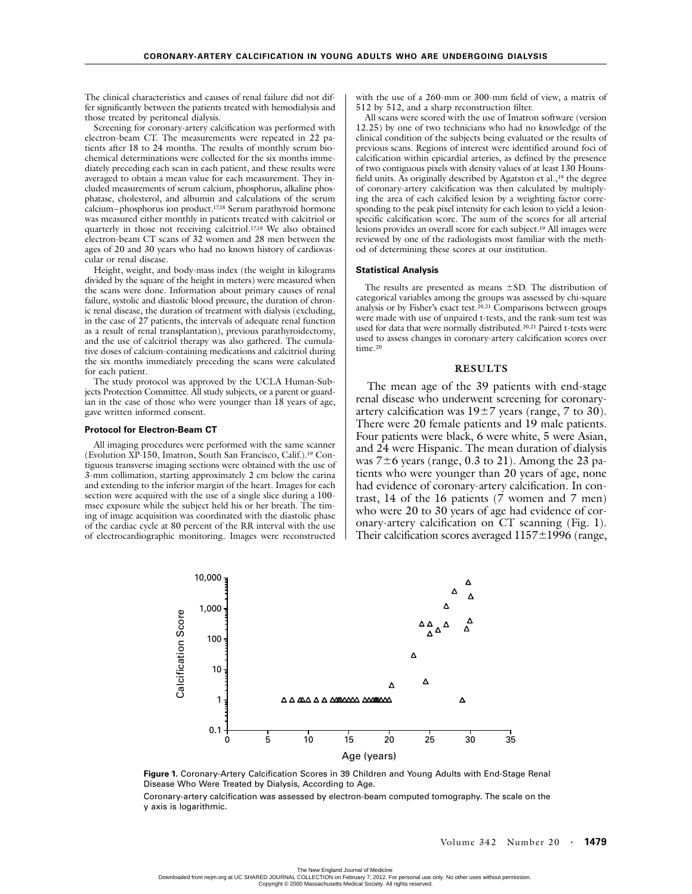The clinical characteristics and causes of renal failure did not differ significantly between the patients treated with hemodialysis and those treated by peritoneal dialysis.

Screening for coronary-artery calcification was performed with electron-beam CT. The measurements were repeated in 22 patients after 18 to 24 months. The results of monthly serum biochemical determinations were collected for the six months immediately preceding each scan in each patient, and these results were averaged to obtain a mean value for each measurement. They included measurements of serum calcium, phosphorus, alkaline phosphatase, cholesterol, and albumin and calculations of the serum calcium–phosphorus ion product.17,18 Serum parathyroid hormone was measured either monthly in patients treated with calcitriol or quarterly in those not receiving calcitriol.17,18 We also obtained electron-beam CT scans of 32 women and 28 men between the ages of 20 and 30 years who had no known history of cardiovascular or renal disease.

Height, weight, and body-mass index (the weight in kilograms divided by the square of the height in meters) were measured when the scans were done. Information about primary causes of renal failure, systolic and diastolic blood pressure, the duration of chronic renal disease, the duration of treatment with dialysis (excluding, in the case of 27 patients, the intervals of adequate renal function as a result of renal transplantation), previous parathyroidectomy, and the use of calcitriol therapy was also gathered. The cumulative doses of calcium-containing medications and calcitriol during the six months immediately preceding the scans were calculated for each patient.

The study protocol was approved by the UCLA Human-Subjects Protection Committee. All study subjects, or a parent or guardian in the case of those who were younger than 18 years of age, gave written informed consent.

### **Protocol for Electron-Beam CT**

All imaging procedures were performed with the same scanner (Evolution XP-150, Imatron, South San Francisco, Calif.).19 Contiguous transverse imaging sections were obtained with the use of 3-mm collimation, starting approximately 2 cm below the carina and extending to the inferior margin of the heart. Images for each section were acquired with the use of a single slice during a 100 msec exposure while the subject held his or her breath. The timing of image acquisition was coordinated with the diastolic phase of the cardiac cycle at 80 percent of the RR interval with the use of electrocardiographic monitoring. Images were reconstructed with the use of a 260-mm or 300-mm field of view, a matrix of 512 by 512, and a sharp reconstruction filter.

All scans were scored with the use of Imatron software (version 12.25) by one of two technicians who had no knowledge of the clinical condition of the subjects being evaluated or the results of previous scans. Regions of interest were identified around foci of calcification within epicardial arteries, as defined by the presence of two contiguous pixels with density values of at least 130 Hounsfield units. As originally described by Agatston et al.,19 the degree of coronary-artery calcification was then calculated by multiplying the area of each calcified lesion by a weighting factor corresponding to the peak pixel intensity for each lesion to yield a lesionspecific calcification score. The sum of the scores for all arterial lesions provides an overall score for each subject.19 All images were reviewed by one of the radiologists most familiar with the method of determining these scores at our institution.

#### **Statistical Analysis**

The results are presented as means ±SD. The distribution of categorical variables among the groups was assessed by chi-square analysis or by Fisher's exact test.20,21 Comparisons between groups were made with use of unpaired t-tests, and the rank-sum test was used for data that were normally distributed.20,21 Paired t-tests were used to assess changes in coronary-artery calcification scores over time.<sup>20</sup>

# **RESULTS**

The mean age of the 39 patients with end-stage renal disease who underwent screening for coronaryartery calcification was  $19\pm7$  years (range, 7 to 30). There were 20 female patients and 19 male patients. Four patients were black, 6 were white, 5 were Asian, and 24 were Hispanic. The mean duration of dialysis was  $7\pm6$  years (range, 0.3 to 21). Among the 23 patients who were younger than 20 years of age, none had evidence of coronary-artery calcification. In contrast, 14 of the 16 patients (7 women and 7 men) who were 20 to 30 years of age had evidence of coronary-artery calcification on CT scanning (Fig. 1). Their calcification scores averaged  $1157 \pm 1996$  (range,



**Figure 1.** Coronary-Artery Calcification Scores in 39 Children and Young Adults with End-Stage Renal Disease Who Were Treated by Dialysis, According to Age.

Coronary-artery calcification was assessed by electron-beam computed tomography. The scale on the y axis is logarithmic.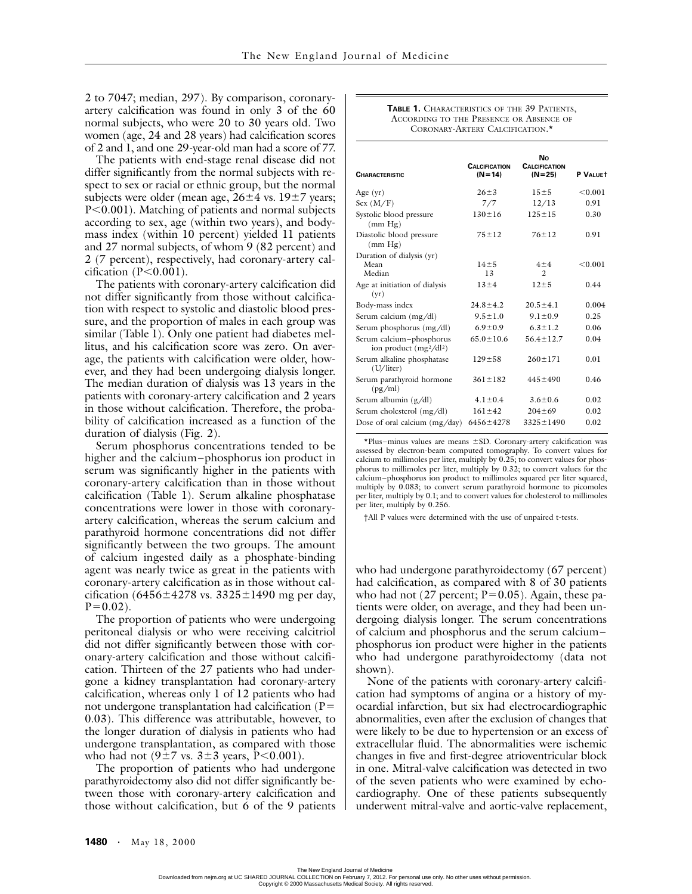2 to 7047; median, 297). By comparison, coronaryartery calcification was found in only 3 of the 60 normal subjects, who were 20 to 30 years old. Two women (age, 24 and 28 years) had calcification scores of 2 and 1, and one 29-year-old man had a score of 77.

The patients with end-stage renal disease did not differ significantly from the normal subjects with respect to sex or racial or ethnic group, but the normal subjects were older (mean age,  $26 \pm 4$  vs.  $19 \pm 7$  years; P<0.001). Matching of patients and normal subjects according to sex, age (within two years), and bodymass index (within 10 percent) yielded 11 patients and 27 normal subjects, of whom 9 (82 percent) and 2 (7 percent), respectively, had coronary-artery calcification  $(P<0.001)$ .

The patients with coronary-artery calcification did not differ significantly from those without calcification with respect to systolic and diastolic blood pressure, and the proportion of males in each group was similar (Table 1). Only one patient had diabetes mellitus, and his calcification score was zero. On average, the patients with calcification were older, however, and they had been undergoing dialysis longer. The median duration of dialysis was 13 years in the patients with coronary-artery calcification and 2 years in those without calcification. Therefore, the probability of calcification increased as a function of the duration of dialysis (Fig. 2).

Serum phosphorus concentrations tended to be higher and the calcium–phosphorus ion product in serum was significantly higher in the patients with coronary-artery calcification than in those without calcification (Table 1). Serum alkaline phosphatase concentrations were lower in those with coronaryartery calcification, whereas the serum calcium and parathyroid hormone concentrations did not differ significantly between the two groups. The amount of calcium ingested daily as a phosphate-binding agent was nearly twice as great in the patients with coronary-artery calcification as in those without calcification (6456 $\pm$ 4278 vs. 3325 $\pm$ 1490 mg per day,  $P=0.02$ ).

The proportion of patients who were undergoing peritoneal dialysis or who were receiving calcitriol did not differ significantly between those with coronary-artery calcification and those without calcification. Thirteen of the 27 patients who had undergone a kidney transplantation had coronary-artery calcification, whereas only 1 of 12 patients who had not undergone transplantation had calcification  $(P=$ 0.03). This difference was attributable, however, to the longer duration of dialysis in patients who had undergone transplantation, as compared with those who had not  $(9\pm7$  vs.  $3\pm3$  years, P<0.001).

The proportion of patients who had undergone parathyroidectomy also did not differ significantly between those with coronary-artery calcification and those without calcification, but 6 of the 9 patients

### **TABLE 1.** CHARACTERISTICS OF THE 39 PATIENTS, ACCORDING TO THE PRESENCE OR ABSENCE OF CORONARY-ARTERY CALCIFICATION.<sup>\*</sup>

| <b>CHARACTERISTIC</b>                                                       | <b>CALCIFICATION</b><br>$(N = 14)$ | <b>No</b><br><b>CALCIFICATION</b><br>$(N = 25)$ | P VALUET |
|-----------------------------------------------------------------------------|------------------------------------|-------------------------------------------------|----------|
| Age $(yr)$                                                                  | $26 + 3$                           | $15 + 5$                                        | < 0.001  |
| Sex (M/F)                                                                   | 7/7                                | 12/13                                           | 0.91     |
| Systolic blood pressure<br>(mm Hg)                                          | $130 \pm 16$                       | $125 \pm 15$                                    | 0.30     |
| Diastolic blood pressure<br>(mm Hg)                                         | $75 + 12$                          | $76 + 12$                                       | 0.91     |
| Duration of dialysis (yr)<br>Mean<br>Median                                 | $14 + 5$<br>13                     | $4\pm4$<br>$\mathfrak{D}$                       | < 0.001  |
| Age at initiation of dialysis<br>(vr)                                       | $13 + 4$                           | $12 + 5$                                        | 0.44     |
| Body-mass index                                                             | $24.8 \pm 4.2$                     | $20.5 \pm 4.1$                                  | 0.004    |
| Serum calcium (mg/dl)                                                       | $9.5 \pm 1.0$                      | $9.1 \pm 0.9$                                   | 0.25     |
| Serum phosphorus (mg/dl)                                                    | $6.9 \pm 0.9$                      | $6.3 \pm 1.2$                                   | 0.06     |
| Serum calcium-phosphorus<br>ion product (mg <sup>2</sup> /dl <sup>2</sup> ) | $65.0 \pm 10.6$                    | $56.4 \pm 12.7$                                 | 0.04     |
| Serum alkaline phosphatase<br>(U/liter)                                     | $129 + 58$                         | $260 \pm 171$                                   | 0.01     |
| Serum parathyroid hormone<br>(pg/ml)                                        | $361 \pm 182$                      | $445 \pm 490$                                   | 0.46     |
| Serum albumin (g/dl)                                                        | $4.1 \pm 0.4$                      | $3.6 \pm 0.6$                                   | 0.02     |
| Serum cholesterol (mg/dl)                                                   | $161 \pm 42$                       | $204 \pm 69$                                    | 0.02     |
| Dose of oral calcium (mg/day)                                               | 6456±4278                          | $3325 \pm 1490$                                 | 0.02     |

\*Plus–minus values are means ±SD. Coronary-artery calcification was assessed by electron-beam computed tomography. To convert values for calcium to millimoles per liter, multiply by 0.25; to convert values for phosphorus to millimoles per liter, multiply by 0.32; to convert values for the calcium–phosphorus ion product to millimoles squared per liter squared, multiply by 0.083; to convert serum parathyroid hormone to picomoles per liter, multiply by 0.1; and to convert values for cholesterol to millimoles per liter, multiply by 0.256.

†All P values were determined with the use of unpaired t-tests.

who had undergone parathyroidectomy (67 percent) had calcification, as compared with 8 of 30 patients who had not (27 percent;  $P=0.05$ ). Again, these patients were older, on average, and they had been undergoing dialysis longer. The serum concentrations of calcium and phosphorus and the serum calcium– phosphorus ion product were higher in the patients who had undergone parathyroidectomy (data not shown).

None of the patients with coronary-artery calcification had symptoms of angina or a history of myocardial infarction, but six had electrocardiographic abnormalities, even after the exclusion of changes that were likely to be due to hypertension or an excess of extracellular fluid. The abnormalities were ischemic changes in five and first-degree atrioventricular block in one. Mitral-valve calcification was detected in two of the seven patients who were examined by echocardiography. One of these patients subsequently underwent mitral-valve and aortic-valve replacement,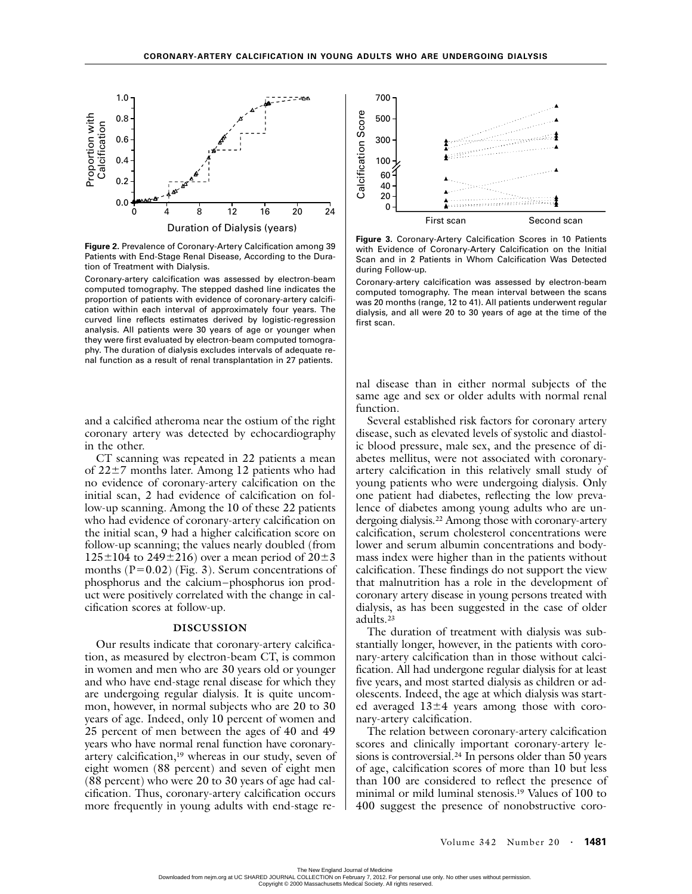

**Figure 2.** Prevalence of Coronary-Artery Calcification among 39 Patients with End-Stage Renal Disease, According to the Duration of Treatment with Dialysis.

Coronary-artery calcification was assessed by electron-beam computed tomography. The stepped dashed line indicates the proportion of patients with evidence of coronary-artery calcification within each interval of approximately four years. The curved line reflects estimates derived by logistic-regression analysis. All patients were 30 years of age or younger when they were first evaluated by electron-beam computed tomography. The duration of dialysis excludes intervals of adequate renal function as a result of renal transplantation in 27 patients.

and a calcified atheroma near the ostium of the right coronary artery was detected by echocardiography in the other.

CT scanning was repeated in 22 patients a mean of 22±7 months later. Among 12 patients who had no evidence of coronary-artery calcification on the initial scan, 2 had evidence of calcification on follow-up scanning. Among the 10 of these 22 patients who had evidence of coronary-artery calcification on the initial scan, 9 had a higher calcification score on follow-up scanning; the values nearly doubled (from  $125\pm104$  to  $249\pm216$ ) over a mean period of  $20\pm3$ months  $(P=0.02)$  (Fig. 3). Serum concentrations of phosphorus and the calcium–phosphorus ion product were positively correlated with the change in calcification scores at follow-up.

## **DISCUSSION**

Our results indicate that coronary-artery calcification, as measured by electron-beam CT, is common in women and men who are 30 years old or younger and who have end-stage renal disease for which they are undergoing regular dialysis. It is quite uncommon, however, in normal subjects who are 20 to 30 years of age. Indeed, only 10 percent of women and 25 percent of men between the ages of 40 and 49 years who have normal renal function have coronaryartery calcification,<sup>19</sup> whereas in our study, seven of eight women (88 percent) and seven of eight men (88 percent) who were 20 to 30 years of age had calcification. Thus, coronary-artery calcification occurs more frequently in young adults with end-stage re-



**Figure 3.** Coronary-Artery Calcification Scores in 10 Patients with Evidence of Coronary-Artery Calcification on the Initial Scan and in 2 Patients in Whom Calcification Was Detected during Follow-up.

Coronary-artery calcification was assessed by electron-beam computed tomography. The mean interval between the scans was 20 months (range, 12 to 41). All patients underwent regular dialysis, and all were 20 to 30 years of age at the time of the first scan.

nal disease than in either normal subjects of the same age and sex or older adults with normal renal function.

Several established risk factors for coronary artery disease, such as elevated levels of systolic and diastolic blood pressure, male sex, and the presence of diabetes mellitus, were not associated with coronaryartery calcification in this relatively small study of young patients who were undergoing dialysis. Only one patient had diabetes, reflecting the low prevalence of diabetes among young adults who are undergoing dialysis.22 Among those with coronary-artery calcification, serum cholesterol concentrations were lower and serum albumin concentrations and bodymass index were higher than in the patients without calcification. These findings do not support the view that malnutrition has a role in the development of coronary artery disease in young persons treated with dialysis, as has been suggested in the case of older adults.23

The duration of treatment with dialysis was substantially longer, however, in the patients with coronary-artery calcification than in those without calcification. All had undergone regular dialysis for at least five years, and most started dialysis as children or adolescents. Indeed, the age at which dialysis was started averaged  $13±4$  years among those with coronary-artery calcification.

The relation between coronary-artery calcification scores and clinically important coronary-artery lesions is controversial.24 In persons older than 50 years of age, calcification scores of more than 10 but less than 100 are considered to reflect the presence of minimal or mild luminal stenosis.19 Values of 100 to 400 suggest the presence of nonobstructive coro-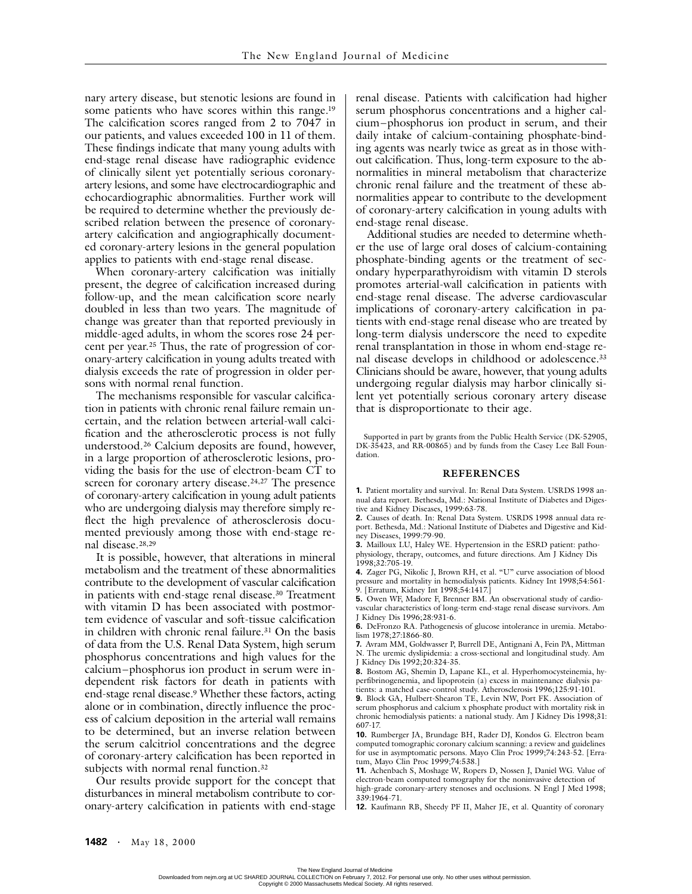nary artery disease, but stenotic lesions are found in some patients who have scores within this range.<sup>19</sup> The calcification scores ranged from 2 to 7047 in our patients, and values exceeded 100 in 11 of them. These findings indicate that many young adults with end-stage renal disease have radiographic evidence of clinically silent yet potentially serious coronaryartery lesions, and some have electrocardiographic and echocardiographic abnormalities. Further work will be required to determine whether the previously described relation between the presence of coronaryartery calcification and angiographically documented coronary-artery lesions in the general population applies to patients with end-stage renal disease.

When coronary-artery calcification was initially present, the degree of calcification increased during follow-up, and the mean calcification score nearly doubled in less than two years. The magnitude of change was greater than that reported previously in middle-aged adults, in whom the scores rose 24 percent per year.25 Thus, the rate of progression of coronary-artery calcification in young adults treated with dialysis exceeds the rate of progression in older persons with normal renal function.

The mechanisms responsible for vascular calcification in patients with chronic renal failure remain uncertain, and the relation between arterial-wall calcification and the atherosclerotic process is not fully understood.26 Calcium deposits are found, however, in a large proportion of atherosclerotic lesions, providing the basis for the use of electron-beam CT to screen for coronary artery disease.<sup>24,27</sup> The presence of coronary-artery calcification in young adult patients who are undergoing dialysis may therefore simply reflect the high prevalence of atherosclerosis documented previously among those with end-stage renal disease.28,29

It is possible, however, that alterations in mineral metabolism and the treatment of these abnormalities contribute to the development of vascular calcification in patients with end-stage renal disease.30 Treatment with vitamin D has been associated with postmortem evidence of vascular and soft-tissue calcification in children with chronic renal failure.<sup>31</sup> On the basis of data from the U.S. Renal Data System, high serum phosphorus concentrations and high values for the calcium–phosphorus ion product in serum were independent risk factors for death in patients with end-stage renal disease.9 Whether these factors, acting alone or in combination, directly influence the process of calcium deposition in the arterial wall remains to be determined, but an inverse relation between the serum calcitriol concentrations and the degree of coronary-artery calcification has been reported in subjects with normal renal function.32

Our results provide support for the concept that disturbances in mineral metabolism contribute to coronary-artery calcification in patients with end-stage renal disease. Patients with calcification had higher serum phosphorus concentrations and a higher calcium–phosphorus ion product in serum, and their daily intake of calcium-containing phosphate-binding agents was nearly twice as great as in those without calcification. Thus, long-term exposure to the abnormalities in mineral metabolism that characterize chronic renal failure and the treatment of these abnormalities appear to contribute to the development of coronary-artery calcification in young adults with end-stage renal disease.

Additional studies are needed to determine whether the use of large oral doses of calcium-containing phosphate-binding agents or the treatment of secondary hyperparathyroidism with vitamin D sterols promotes arterial-wall calcification in patients with end-stage renal disease. The adverse cardiovascular implications of coronary-artery calcification in patients with end-stage renal disease who are treated by long-term dialysis underscore the need to expedite renal transplantation in those in whom end-stage renal disease develops in childhood or adolescence.33 Clinicians should be aware, however, that young adults undergoing regular dialysis may harbor clinically silent yet potentially serious coronary artery disease that is disproportionate to their age.

Supported in part by grants from the Public Health Service (DK-52905, DK-35423, and RR-00865) and by funds from the Casey Lee Ball Foundation.

# **REFERENCES**

**1.** Patient mortality and survival. In: Renal Data System. USRDS 1998 annual data report. Bethesda, Md.: National Institute of Diabetes and Digestive and Kidney Diseases, 1999:63-78.

**2.** Causes of death. In: Renal Data System. USRDS 1998 annual data report. Bethesda, Md.: National Institute of Diabetes and Digestive and Kidney Diseases, 1999:79-90.

**3.** Mailloux LU, Haley WE. Hypertension in the ESRD patient: pathophysiology, therapy, outcomes, and future directions. Am J Kidney Dis 1998;32:705-19.

**4.** Zager PG, Nikolic J, Brown RH, et al. "U" curve association of blood pressure and mortality in hemodialysis patients. Kidney Int 1998;54:561- 9. [Erratum, Kidney Int 1998;54:1417.]

**5.** Owen WF, Madore F, Brenner BM. An observational study of cardiovascular characteristics of long-term end-stage renal disease survivors. Am J Kidney Dis 1996;28:931-6.

**6.** DeFronzo RA. Pathogenesis of glucose intolerance in uremia. Metabolism 1978;27:1866-80.

**7.** Avram MM, Goldwasser P, Burrell DE, Antignani A, Fein PA, Mittman N. The uremic dyslipidemia: a cross-sectional and longitudinal study. Am J Kidney Dis 1992;20:324-35.

**8.** Bostom AG, Shemin D, Lapane KL, et al. Hyperhomocysteinemia, hyperfibrinogenemia, and lipoprotein (a) excess in maintenance dialysis patients: a matched case-control study. Atherosclerosis 1996;125:91-101.

**9.** Block GA, Hulbert-Shearon TE, Levin NW, Port FK. Association of serum phosphorus and calcium x phosphate product with mortality risk in chronic hemodialysis patients: a national study. Am J Kidney Dis 1998;31: 607-17.

**10.** Rumberger JA, Brundage BH, Rader DJ, Kondos G. Electron beam computed tomographic coronary calcium scanning: a review and guidelines for use in asymptomatic persons. Mayo Clin Proc 1999;74:243-52. [Erratum, Mayo Clin Proc 1999;74:538.]

**11.** Achenbach S, Moshage W, Ropers D, Nossen J, Daniel WG. Value of electron-beam computed tomography for the noninvasive detection of high-grade coronary-artery stenoses and occlusions. N Engl J Med 1998; 339:1964-71.

**12.** Kaufmann RB, Sheedy PF II, Maher JE, et al. Quantity of coronary